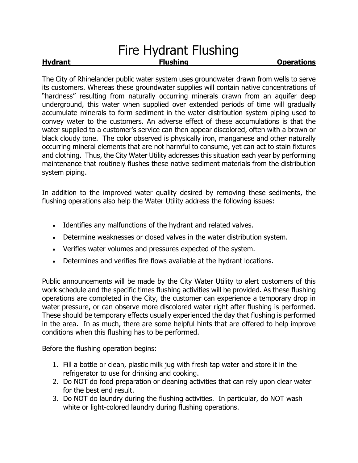## Fire Hydrant Flushing **Hydrant Construction Elushing Constructions Constructions**

The City of Rhinelander public water system uses groundwater drawn from wells to serve its customers. Whereas these groundwater supplies will contain native concentrations of "hardness" resulting from naturally occurring minerals drawn from an aquifer deep underground, this water when supplied over extended periods of time will gradually accumulate minerals to form sediment in the water distribution system piping used to convey water to the customers. An adverse effect of these accumulations is that the water supplied to a customer's service can then appear discolored, often with a brown or black cloudy tone. The color observed is physically iron, manganese and other naturally occurring mineral elements that are not harmful to consume, yet can act to stain fixtures and clothing. Thus, the City Water Utility addresses this situation each year by performing maintenance that routinely flushes these native sediment materials from the distribution system piping.

In addition to the improved water quality desired by removing these sediments, the flushing operations also help the Water Utility address the following issues:

- Identifies any malfunctions of the hydrant and related valves.
- Determine weaknesses or closed valves in the water distribution system.
- Verifies water volumes and pressures expected of the system.
- Determines and verifies fire flows available at the hydrant locations.

Public announcements will be made by the City Water Utility to alert customers of this work schedule and the specific times flushing activities will be provided. As these flushing operations are completed in the City, the customer can experience a temporary drop in water pressure, or can observe more discolored water right after flushing is performed. These should be temporary effects usually experienced the day that flushing is performed in the area. In as much, there are some helpful hints that are offered to help improve conditions when this flushing has to be performed.

Before the flushing operation begins:

- 1. Fill a bottle or clean, plastic milk jug with fresh tap water and store it in the refrigerator to use for drinking and cooking.
- 2. Do NOT do food preparation or cleaning activities that can rely upon clear water for the best end result.
- 3. Do NOT do laundry during the flushing activities. In particular, do NOT wash white or light-colored laundry during flushing operations.